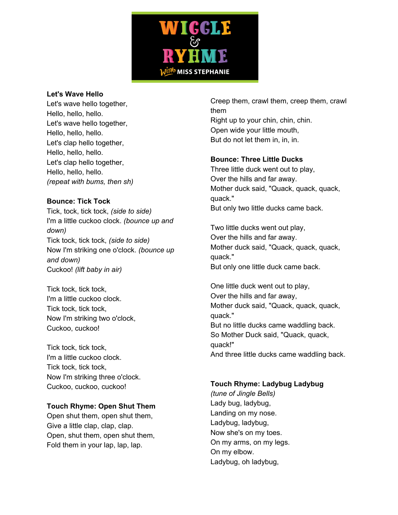

## **Let's Wave Hello**

Let's wave hello together, Hello, hello, hello. Let's wave hello together, Hello, hello, hello. Let's clap hello together, Hello, hello, hello. Let's clap hello together, Hello, hello, hello. *(repeat with bums, then sh)*

# **Bounce: Tick Tock**

Tick, tock, tick tock, *(side to side)* I'm a little cuckoo clock. *(bounce up and down)* Tick tock, tick tock, *(side to side)* Now I'm striking one o'clock. *(bounce up and down)* Cuckoo! *(lift baby in air)*

Tick tock, tick tock, I'm a little cuckoo clock. Tick tock, tick tock, Now I'm striking two o'clock, Cuckoo, cuckoo!

Tick tock, tick tock, I'm a little cuckoo clock. Tick tock, tick tock, Now I'm striking three o'clock. Cuckoo, cuckoo, cuckoo!

# **Touch Rhyme: Open Shut Them**

Open shut them, open shut them, Give a little clap, clap, clap. Open, shut them, open shut them, Fold them in your lap, lap, lap.

Creep them, crawl them, creep them, crawl them Right up to your chin, chin, chin. Open wide your little mouth, But do not let them in, in, in.

# **Bounce: Three Little Ducks**

Three little duck went out to play, Over the hills and far away. Mother duck said, "Quack, quack, quack, quack." But only two little ducks came back.

Two little ducks went out play, Over the hills and far away. Mother duck said, "Quack, quack, quack, quack." But only one little duck came back.

One little duck went out to play, Over the hills and far away, Mother duck said, "Quack, quack, quack, quack." But no little ducks came waddling back. So Mother Duck said, "Quack, quack, quack!" And three little ducks came waddling back.

# **Touch Rhyme: Ladybug Ladybug**

*(tune of Jingle Bells)* Lady bug, ladybug, Landing on my nose. Ladybug, ladybug, Now she's on my toes. On my arms, on my legs. On my elbow. Ladybug, oh ladybug,